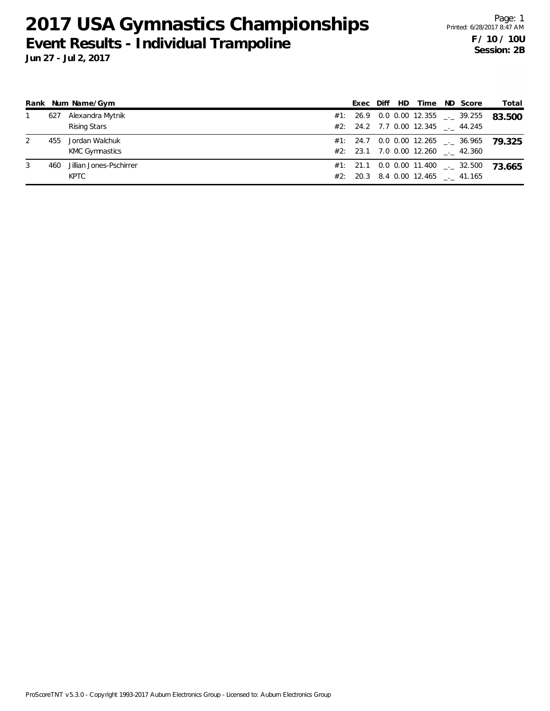|   |     | Rank Num Name/Gym       | Exec |  | Diff HD Time                      | ND Score                                 | Total                                       |
|---|-----|-------------------------|------|--|-----------------------------------|------------------------------------------|---------------------------------------------|
|   | 627 | Alexandra Mytnik        |      |  |                                   | #1: 26.9 0.0 0.00 12.355 $\qquad$ 39.255 | 83.500                                      |
|   |     | <b>Rising Stars</b>     |      |  | #2: 24.2 7.7 0.00 12.345 . 44.245 |                                          |                                             |
| 2 | 455 | Jordan Walchuk          |      |  |                                   |                                          | $#1:$ 24.7 0.0 0.00 12.265 __ 36.965 79.325 |
|   |     | KMC Gymnastics          |      |  | #2: 23.1 7.0 0.00 12.260 . 42.360 |                                          |                                             |
| 3 | 460 | Jillian Jones-Pschirrer |      |  |                                   | $#1:$ 21.1 0.0 0.00 11.400 $\_\_$ 32.500 | 73.665                                      |
|   |     | <b>KPTC</b>             |      |  | #2: 20.3 8.4 0.00 12.465 . 41.165 |                                          |                                             |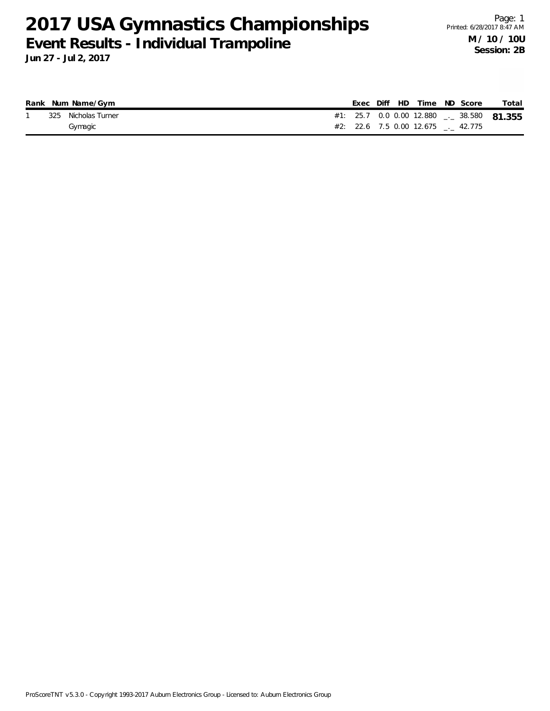|  | Rank Num Name/Gym   |  |  | Exec Diff HD Time ND Score |                                   | Total                                           |
|--|---------------------|--|--|----------------------------|-----------------------------------|-------------------------------------------------|
|  | 325 Nicholas Turner |  |  |                            |                                   | #1: 25.7 0.0 0.00 12.880 $\ldots$ 38.580 81.355 |
|  | Gymagic             |  |  |                            | #2: 22.6 7.5 0.00 12.675 . 42.775 |                                                 |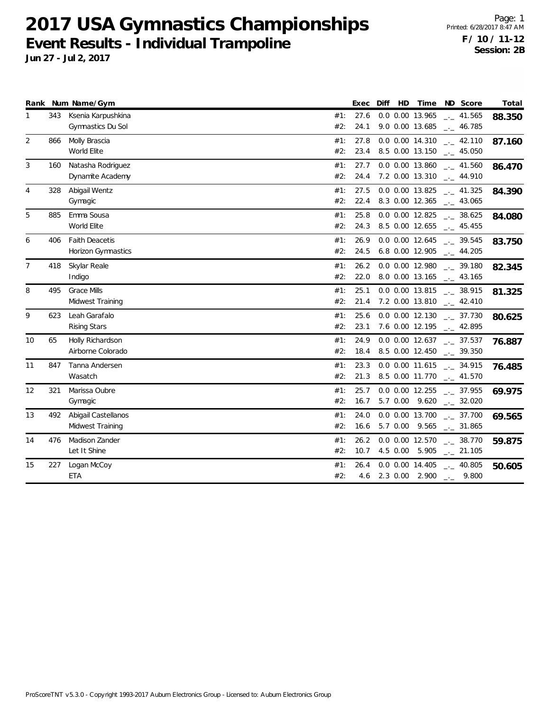|                |     | Rank Num Name/Gym                           |            | Exec         | Diff | HD       | Time                                     | ND Score                                     | Total  |
|----------------|-----|---------------------------------------------|------------|--------------|------|----------|------------------------------------------|----------------------------------------------|--------|
|                | 343 | Ksenia Karpushkina<br>Gymnastics Du Sol     | #1:<br>#2: | 27.6<br>24.1 |      |          | 0.0 0.00 13.965<br>9.0 0.00 13.685       | $-1$ 41.565<br>$-1$ 46.785                   | 88.350 |
| 2              | 866 | Molly Brascia<br>World Elite                | #1:<br>#2: | 27.8<br>23.4 |      |          | 0.0 0.00 14.310<br>8.5 0.00 13.150       | $\frac{1}{2}$ 42.110<br>$\frac{1}{2}$ 45.050 | 87.160 |
| 3              | 160 | Natasha Rodriguez<br>Dynamite Academy       | #1:<br>#2: | 27.7<br>24.4 |      |          | 0.0 0.00 13.860<br>7.2 0.00 13.310       | $-1$ 41.560<br>$\sim$ 44.910                 | 86.470 |
| 4              | 328 | Abigail Wentz<br>Gymagic                    | #1:<br>#2: | 27.5<br>22.4 |      |          | 0.0 0.00 13.825<br>8.3 0.00 12.365       | $\frac{1}{2}$ 41.325<br>$\frac{1}{2}$ 43.065 | 84.390 |
| 5              | 885 | Emma Sousa<br>World Elite                   | #1:<br>#2: | 25.8<br>24.3 |      |          | 0.0 0.00 12.825<br>8.5 0.00 12.655       | $\frac{1}{2}$ 38.625<br>$\frac{1}{2}$ 45.455 | 84.080 |
| 6              | 406 | <b>Faith Deacetis</b><br>Horizon Gymnastics | #1:<br>#2: | 26.9<br>24.5 |      |          | 0.0 0.00 12.645<br>6.8 0.00 12.905       | $\frac{1}{2}$ 39.545<br>$-2$ 44.205          | 83.750 |
| $\overline{7}$ | 418 | Skylar Reale<br>Indigo                      | #1:<br>#2: | 26.2<br>22.0 |      |          | 0.0 0.00 12.980<br>8.0 0.00 13.165       | $-2$ 39.180<br>$\frac{1}{2}$ 43.165          | 82.345 |
| 8              | 495 | <b>Grace Mills</b><br>Midwest Training      | #1:<br>#2: | 25.1<br>21.4 |      |          | 0.0 0.00 13.815<br>7.2 0.00 13.810       | $-2$ 38.915<br>$-2.410$                      | 81.325 |
| 9              | 623 | Leah Garafalo<br>Rising Stars               | #1:<br>#2: | 25.6<br>23.1 |      |          | 0.0 0.00 12.130<br>7.6 0.00 12.195       | $-2$ 37.730<br>$\sim$ 42.895                 | 80.625 |
| 10             | 65  | Holly Richardson<br>Airborne Colorado       | #1:<br>#2: | 24.9<br>18.4 |      |          | $0.0$ $0.00$ $12.637$<br>8.5 0.00 12.450 | $\sim$ 37.537<br>$\frac{1}{2}$ 39.350        | 76.887 |
| 11             | 847 | Tanna Andersen<br>Wasatch                   | #1:<br>#2: | 23.3<br>21.3 |      |          | 0.0 0.00 11.615<br>8.5 0.00 11.770       | $\frac{1}{2}$ 34.915<br>$\sim$ 41.570        | 76.485 |
| 12             | 321 | Marissa Oubre<br>Gymagic                    | #1:<br>#2: | 25.7<br>16.7 |      |          | 0.0 0.00 12.255<br>5.7 0.00 9.620        | $-2$ 37.955<br>$-2.32.020$                   | 69.975 |
| 13             | 492 | Abigail Castellanos<br>Midwest Training     | #1:<br>#2: | 24.0<br>16.6 |      |          | 0.0 0.00 13.700<br>5.7 0.00 9.565        | $\frac{1}{2}$ 37.700<br>$\frac{1}{2}$ 31.865 | 69.565 |
| 14             | 476 | Madison Zander<br>Let It Shine              | #1:<br>#2: | 26.2<br>10.7 |      | 4.5 0.00 | 0.0 0.00 12.570<br>5.905                 | $-2$ 38.770<br>$-21.105$                     | 59.875 |
| 15             | 227 | Logan McCoy<br><b>ETA</b>                   | #1:<br>#2: | 26.4<br>4.6  |      |          | 0.0 0.00 14.405<br>2.3 0.00 2.900        | $\frac{1}{2}$ 40.805<br>$-2$ 9.800           | 50.605 |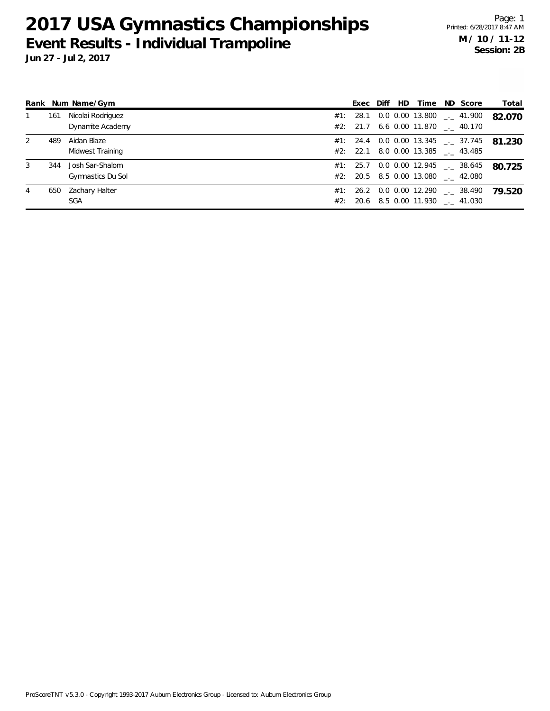**Jun 27 - Jul 2, 2017**

|   |     | Rank Num Name/Gym                     | Exec Diff |  | HD Time                                 | ND Score                                   | Total  |
|---|-----|---------------------------------------|-----------|--|-----------------------------------------|--------------------------------------------|--------|
|   | 161 | Nicolai Rodriguez<br>Dynamite Academy |           |  | #2: 21.7 6.6 0.00 11.870 . 40.170       | $#1:$ 28.1 0.0 0.00 13.800 $\qquad$ 41.900 | 82.070 |
| 2 | 489 | Aidan Blaze<br>Midwest Training       |           |  | #2: 22.1 8.0 0.00 13.385 $\quad$ 43.485 | #1: 24.4 0.0 0.00 13.345 $\leq$ 37.745     | 81.230 |
| 3 | 344 | Josh Sar-Shalom<br>Gymnastics Du Sol  |           |  | #2: 20.5 8.5 0.00 13.080 . 42.080       | $#1: 25.7 0.0 0.00 12.945$ $_{\_}2$ 38.645 | 80.725 |
| 4 | 650 | Zachary Halter<br><b>SGA</b>          |           |  | #2: 20.6 8.5 0.00 11.930 . 41.030       | #1: 26.2 0.0 0.00 12.290 $\qquad$ 38.490   | 79.520 |

ProScoreTNT v5.3.0 - Copyright 1993-2017 Auburn Electronics Group - Licensed to: Auburn Electronics Group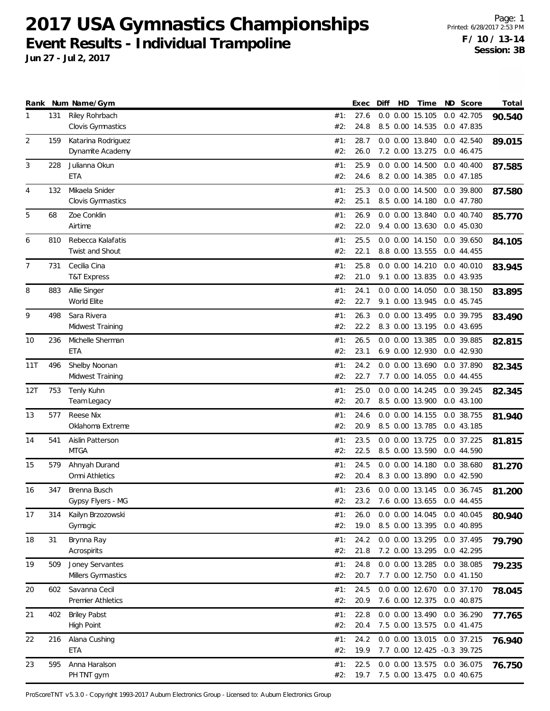**Jun 27 - Jul 2, 2017**

| Riley Rohrbach<br>0.0 0.00 15.105<br>0.0 42.705<br>131<br>27.6<br>#1:<br>1<br>90.540<br>Clovis Gymnastics<br>8.5 0.00 14.535<br>0.0 47.835<br>#2:<br>24.8<br>28.7<br>2<br>159<br>Katarina Rodriguez<br>#1:<br>0.0 0.00 13.840<br>0.0 42.540<br>89.015<br>Dynamite Academy<br>#2:<br>26.0<br>7.2 0.00 13.275<br>0.0 46.475<br>3<br>Julianna Okun<br>25.9<br>228<br>0.0 0.00 14.500<br>#1:<br>$0.0$ 40.400<br>87.585<br>ETA<br>#2:<br>24.6<br>8.2 0.00 14.385<br>0.0 47.185<br>Mikaela Snider<br>25.3<br>$\overline{4}$<br>132<br>#1:<br>0.0 0.00 14.500<br>0.0 39.800<br>87.580<br>Clovis Gymnastics<br>#2:<br>25.1<br>8.5 0.00 14.180<br>0.0 47.780<br>Zoe Conklin<br>5<br>26.9<br>0.0 0.00 13.840<br>0.0 40.740<br>68<br>#1:<br>85.770<br>Airtime<br>#2:<br>9.4 0.00 13.630<br>0.0 45.030<br>22.0<br>Rebecca Kalafatis<br>25.5<br>0.0 0.00 14.150<br>6<br>810<br>#1:<br>0.0 39.650<br>84.105<br>Twist and Shout<br>#2:<br>22.1<br>8.8 0.00 13.555<br>0.044.455<br>Cecilia Cina<br>25.8<br>7<br>731<br>#1:<br>0.0 0.00 14.210<br>0.0 40.010<br>83.945<br><b>T&amp;T Express</b><br>#2:<br>21.0<br>9.1 0.00 13.835<br>0.0 43.935<br>Allie Singer<br>24.1<br>0.0 0.00 14.050<br>8<br>883<br>#1:<br>0.0 38.150<br>83.895<br>World Elite<br>#2:<br>22.7<br>9.1 0.00 13.945<br>0.0 45.745<br>9<br>Sara Rivera<br>26.3<br>0.0 0.00 13.495<br>498<br>#1:<br>0.0 39.795<br>83.490<br>Midwest Training<br>#2:<br>22.2<br>8.3 0.00 13.195<br>0.0 43.695<br>Michelle Sherman<br>26.5<br>0.0 0.00 13.385<br>10<br>236<br>#1:<br>0.0 39.885<br>82.815<br>ETA<br>#2:<br>23.1<br>6.9 0.00 12.930<br>0.0 42.930<br>Shelby Noonan<br>496<br>24.2<br>0.0 0.00 13.690<br>0.0 37.890<br>11T<br>#1:<br>82.345<br>Midwest Training<br>#2:<br>22.7<br>7.7 0.00 14.055<br>0.0 44.455<br>0.0 0.00 14.245<br>12T<br>753<br>Tenly Kuhn<br>25.0<br>#1:<br>0.0 39.245<br>82.345<br>#2:<br>20.7<br>8.5 0.00 13.900<br>0.043.100<br>Team Legacy<br>Reese Nix<br>13<br>577<br>#1:<br>24.6<br>0.0 0.00 14.155<br>0.0 38.755<br>81.940<br>Oklahoma Extreme<br>#2:<br>20.9<br>8.5 0.00 13.785<br>0.0 43.185<br>23.5<br>Aislin Patterson<br>0.0 0.00 13.725<br>0.0 37.225<br>14<br>541<br>#1:<br>81.815<br><b>MTGA</b><br>#2:<br>22.5<br>8.5 0.00 13.590<br>0.0 44.590<br>Ahnyah Durand<br>$0.0$ $0.00$ $14.180$<br>0.0 38.680<br>15<br>579<br>#1:<br>24.5<br>81.270<br>Omni Athletics<br>#2:<br>20.4<br>8.3 0.00 13.890<br>0.0 42.590<br>347<br>Brenna Busch<br>16<br>#1:<br>23.6<br>$0.0$ $0.00$ $13.145$<br>0.0 36.745<br>81.200<br>23.2 7.6 0.00 13.655<br>Gypsy Flyers - MG<br>#2:<br>0.0 44.455<br>0.0 0.00 14.045<br>17<br>Kailyn Brzozowski<br>#1:<br>26.0<br>0.0 40.045<br>314<br>80.940<br>19.0<br>8.5 0.00 13.395<br>#2:<br>0.0 40.895<br>Gymagic<br>24.2<br>0.0 0.00 13.295<br>Brynna Ray<br>0.0 37.495<br>18<br>31<br>#1:<br>79.790<br>Acrospirits<br>#2:<br>21.8<br>7.2 0.00 13.295<br>0.0 42.295<br>Joney Servantes<br>19<br>509<br>24.8<br>0.0 0.00 13.285<br>0.0 38.085<br>#1:<br>79.235<br>Millers Gymnastics<br>#2:<br>20.7<br>7.7 0.00 12.750<br>0.0 41.150<br>Savanna Cecil<br>24.5<br>0.0 0.00 12.670<br>20<br>602<br>#1:<br>0.0 37.170<br>78.045<br><b>Premier Athletics</b><br>#2:<br>20.9<br>7.6 0.00 12.375<br>0.0 40.875<br><b>Briley Pabst</b><br>22.8<br>21<br>402<br>#1:<br>0.0 0.00 13.490<br>0.0 36.290<br>77.765<br>High Point<br>#2:<br>20.4<br>7.5 0.00 13.575<br>0.0 41.475<br>24.2<br>Alana Cushing<br>0.0 0.00 13.015<br>22<br>216<br>#1:<br>0.0 37.215<br>76.940<br>ETA<br>#2:<br>19.9<br>7.7 0.00 12.425 -0.3 39.725<br>Anna Haralson<br>23<br>595<br>22.5<br>0.0 0.00 13.575<br>0.0 36.075<br>#1:<br>76.750<br>PH TNT gym<br>#2:<br>19.7<br>7.5 0.00 13.475<br>0.0 40.675 |  | Rank Num Name/Gym | Exec | Diff | HD | Time | ND Score | Total |
|--------------------------------------------------------------------------------------------------------------------------------------------------------------------------------------------------------------------------------------------------------------------------------------------------------------------------------------------------------------------------------------------------------------------------------------------------------------------------------------------------------------------------------------------------------------------------------------------------------------------------------------------------------------------------------------------------------------------------------------------------------------------------------------------------------------------------------------------------------------------------------------------------------------------------------------------------------------------------------------------------------------------------------------------------------------------------------------------------------------------------------------------------------------------------------------------------------------------------------------------------------------------------------------------------------------------------------------------------------------------------------------------------------------------------------------------------------------------------------------------------------------------------------------------------------------------------------------------------------------------------------------------------------------------------------------------------------------------------------------------------------------------------------------------------------------------------------------------------------------------------------------------------------------------------------------------------------------------------------------------------------------------------------------------------------------------------------------------------------------------------------------------------------------------------------------------------------------------------------------------------------------------------------------------------------------------------------------------------------------------------------------------------------------------------------------------------------------------------------------------------------------------------------------------------------------------------------------------------------------------------------------------------------------------------------------------------------------------------------------------------------------------------------------------------------------------------------------------------------------------------------------------------------------------------------------------------------------------------------------------------------------------------------------------------------------------------------------------------------------------------------------------------------------------------------------------------------------------------------------------------------------------------------------------------------------------------------------------------------------------------------------------------------------------------------------------------------------------------------------------------------------------------------------------------------------------------------------------------------------------------------------------------------------------------------|--|-------------------|------|------|----|------|----------|-------|
|                                                                                                                                                                                                                                                                                                                                                                                                                                                                                                                                                                                                                                                                                                                                                                                                                                                                                                                                                                                                                                                                                                                                                                                                                                                                                                                                                                                                                                                                                                                                                                                                                                                                                                                                                                                                                                                                                                                                                                                                                                                                                                                                                                                                                                                                                                                                                                                                                                                                                                                                                                                                                                                                                                                                                                                                                                                                                                                                                                                                                                                                                                                                                                                                                                                                                                                                                                                                                                                                                                                                                                                                                                                                                |  |                   |      |      |    |      |          |       |
|                                                                                                                                                                                                                                                                                                                                                                                                                                                                                                                                                                                                                                                                                                                                                                                                                                                                                                                                                                                                                                                                                                                                                                                                                                                                                                                                                                                                                                                                                                                                                                                                                                                                                                                                                                                                                                                                                                                                                                                                                                                                                                                                                                                                                                                                                                                                                                                                                                                                                                                                                                                                                                                                                                                                                                                                                                                                                                                                                                                                                                                                                                                                                                                                                                                                                                                                                                                                                                                                                                                                                                                                                                                                                |  |                   |      |      |    |      |          |       |
|                                                                                                                                                                                                                                                                                                                                                                                                                                                                                                                                                                                                                                                                                                                                                                                                                                                                                                                                                                                                                                                                                                                                                                                                                                                                                                                                                                                                                                                                                                                                                                                                                                                                                                                                                                                                                                                                                                                                                                                                                                                                                                                                                                                                                                                                                                                                                                                                                                                                                                                                                                                                                                                                                                                                                                                                                                                                                                                                                                                                                                                                                                                                                                                                                                                                                                                                                                                                                                                                                                                                                                                                                                                                                |  |                   |      |      |    |      |          |       |
|                                                                                                                                                                                                                                                                                                                                                                                                                                                                                                                                                                                                                                                                                                                                                                                                                                                                                                                                                                                                                                                                                                                                                                                                                                                                                                                                                                                                                                                                                                                                                                                                                                                                                                                                                                                                                                                                                                                                                                                                                                                                                                                                                                                                                                                                                                                                                                                                                                                                                                                                                                                                                                                                                                                                                                                                                                                                                                                                                                                                                                                                                                                                                                                                                                                                                                                                                                                                                                                                                                                                                                                                                                                                                |  |                   |      |      |    |      |          |       |
|                                                                                                                                                                                                                                                                                                                                                                                                                                                                                                                                                                                                                                                                                                                                                                                                                                                                                                                                                                                                                                                                                                                                                                                                                                                                                                                                                                                                                                                                                                                                                                                                                                                                                                                                                                                                                                                                                                                                                                                                                                                                                                                                                                                                                                                                                                                                                                                                                                                                                                                                                                                                                                                                                                                                                                                                                                                                                                                                                                                                                                                                                                                                                                                                                                                                                                                                                                                                                                                                                                                                                                                                                                                                                |  |                   |      |      |    |      |          |       |
|                                                                                                                                                                                                                                                                                                                                                                                                                                                                                                                                                                                                                                                                                                                                                                                                                                                                                                                                                                                                                                                                                                                                                                                                                                                                                                                                                                                                                                                                                                                                                                                                                                                                                                                                                                                                                                                                                                                                                                                                                                                                                                                                                                                                                                                                                                                                                                                                                                                                                                                                                                                                                                                                                                                                                                                                                                                                                                                                                                                                                                                                                                                                                                                                                                                                                                                                                                                                                                                                                                                                                                                                                                                                                |  |                   |      |      |    |      |          |       |
|                                                                                                                                                                                                                                                                                                                                                                                                                                                                                                                                                                                                                                                                                                                                                                                                                                                                                                                                                                                                                                                                                                                                                                                                                                                                                                                                                                                                                                                                                                                                                                                                                                                                                                                                                                                                                                                                                                                                                                                                                                                                                                                                                                                                                                                                                                                                                                                                                                                                                                                                                                                                                                                                                                                                                                                                                                                                                                                                                                                                                                                                                                                                                                                                                                                                                                                                                                                                                                                                                                                                                                                                                                                                                |  |                   |      |      |    |      |          |       |
|                                                                                                                                                                                                                                                                                                                                                                                                                                                                                                                                                                                                                                                                                                                                                                                                                                                                                                                                                                                                                                                                                                                                                                                                                                                                                                                                                                                                                                                                                                                                                                                                                                                                                                                                                                                                                                                                                                                                                                                                                                                                                                                                                                                                                                                                                                                                                                                                                                                                                                                                                                                                                                                                                                                                                                                                                                                                                                                                                                                                                                                                                                                                                                                                                                                                                                                                                                                                                                                                                                                                                                                                                                                                                |  |                   |      |      |    |      |          |       |
|                                                                                                                                                                                                                                                                                                                                                                                                                                                                                                                                                                                                                                                                                                                                                                                                                                                                                                                                                                                                                                                                                                                                                                                                                                                                                                                                                                                                                                                                                                                                                                                                                                                                                                                                                                                                                                                                                                                                                                                                                                                                                                                                                                                                                                                                                                                                                                                                                                                                                                                                                                                                                                                                                                                                                                                                                                                                                                                                                                                                                                                                                                                                                                                                                                                                                                                                                                                                                                                                                                                                                                                                                                                                                |  |                   |      |      |    |      |          |       |
|                                                                                                                                                                                                                                                                                                                                                                                                                                                                                                                                                                                                                                                                                                                                                                                                                                                                                                                                                                                                                                                                                                                                                                                                                                                                                                                                                                                                                                                                                                                                                                                                                                                                                                                                                                                                                                                                                                                                                                                                                                                                                                                                                                                                                                                                                                                                                                                                                                                                                                                                                                                                                                                                                                                                                                                                                                                                                                                                                                                                                                                                                                                                                                                                                                                                                                                                                                                                                                                                                                                                                                                                                                                                                |  |                   |      |      |    |      |          |       |
|                                                                                                                                                                                                                                                                                                                                                                                                                                                                                                                                                                                                                                                                                                                                                                                                                                                                                                                                                                                                                                                                                                                                                                                                                                                                                                                                                                                                                                                                                                                                                                                                                                                                                                                                                                                                                                                                                                                                                                                                                                                                                                                                                                                                                                                                                                                                                                                                                                                                                                                                                                                                                                                                                                                                                                                                                                                                                                                                                                                                                                                                                                                                                                                                                                                                                                                                                                                                                                                                                                                                                                                                                                                                                |  |                   |      |      |    |      |          |       |
|                                                                                                                                                                                                                                                                                                                                                                                                                                                                                                                                                                                                                                                                                                                                                                                                                                                                                                                                                                                                                                                                                                                                                                                                                                                                                                                                                                                                                                                                                                                                                                                                                                                                                                                                                                                                                                                                                                                                                                                                                                                                                                                                                                                                                                                                                                                                                                                                                                                                                                                                                                                                                                                                                                                                                                                                                                                                                                                                                                                                                                                                                                                                                                                                                                                                                                                                                                                                                                                                                                                                                                                                                                                                                |  |                   |      |      |    |      |          |       |
|                                                                                                                                                                                                                                                                                                                                                                                                                                                                                                                                                                                                                                                                                                                                                                                                                                                                                                                                                                                                                                                                                                                                                                                                                                                                                                                                                                                                                                                                                                                                                                                                                                                                                                                                                                                                                                                                                                                                                                                                                                                                                                                                                                                                                                                                                                                                                                                                                                                                                                                                                                                                                                                                                                                                                                                                                                                                                                                                                                                                                                                                                                                                                                                                                                                                                                                                                                                                                                                                                                                                                                                                                                                                                |  |                   |      |      |    |      |          |       |
|                                                                                                                                                                                                                                                                                                                                                                                                                                                                                                                                                                                                                                                                                                                                                                                                                                                                                                                                                                                                                                                                                                                                                                                                                                                                                                                                                                                                                                                                                                                                                                                                                                                                                                                                                                                                                                                                                                                                                                                                                                                                                                                                                                                                                                                                                                                                                                                                                                                                                                                                                                                                                                                                                                                                                                                                                                                                                                                                                                                                                                                                                                                                                                                                                                                                                                                                                                                                                                                                                                                                                                                                                                                                                |  |                   |      |      |    |      |          |       |
|                                                                                                                                                                                                                                                                                                                                                                                                                                                                                                                                                                                                                                                                                                                                                                                                                                                                                                                                                                                                                                                                                                                                                                                                                                                                                                                                                                                                                                                                                                                                                                                                                                                                                                                                                                                                                                                                                                                                                                                                                                                                                                                                                                                                                                                                                                                                                                                                                                                                                                                                                                                                                                                                                                                                                                                                                                                                                                                                                                                                                                                                                                                                                                                                                                                                                                                                                                                                                                                                                                                                                                                                                                                                                |  |                   |      |      |    |      |          |       |
|                                                                                                                                                                                                                                                                                                                                                                                                                                                                                                                                                                                                                                                                                                                                                                                                                                                                                                                                                                                                                                                                                                                                                                                                                                                                                                                                                                                                                                                                                                                                                                                                                                                                                                                                                                                                                                                                                                                                                                                                                                                                                                                                                                                                                                                                                                                                                                                                                                                                                                                                                                                                                                                                                                                                                                                                                                                                                                                                                                                                                                                                                                                                                                                                                                                                                                                                                                                                                                                                                                                                                                                                                                                                                |  |                   |      |      |    |      |          |       |
|                                                                                                                                                                                                                                                                                                                                                                                                                                                                                                                                                                                                                                                                                                                                                                                                                                                                                                                                                                                                                                                                                                                                                                                                                                                                                                                                                                                                                                                                                                                                                                                                                                                                                                                                                                                                                                                                                                                                                                                                                                                                                                                                                                                                                                                                                                                                                                                                                                                                                                                                                                                                                                                                                                                                                                                                                                                                                                                                                                                                                                                                                                                                                                                                                                                                                                                                                                                                                                                                                                                                                                                                                                                                                |  |                   |      |      |    |      |          |       |
|                                                                                                                                                                                                                                                                                                                                                                                                                                                                                                                                                                                                                                                                                                                                                                                                                                                                                                                                                                                                                                                                                                                                                                                                                                                                                                                                                                                                                                                                                                                                                                                                                                                                                                                                                                                                                                                                                                                                                                                                                                                                                                                                                                                                                                                                                                                                                                                                                                                                                                                                                                                                                                                                                                                                                                                                                                                                                                                                                                                                                                                                                                                                                                                                                                                                                                                                                                                                                                                                                                                                                                                                                                                                                |  |                   |      |      |    |      |          |       |
|                                                                                                                                                                                                                                                                                                                                                                                                                                                                                                                                                                                                                                                                                                                                                                                                                                                                                                                                                                                                                                                                                                                                                                                                                                                                                                                                                                                                                                                                                                                                                                                                                                                                                                                                                                                                                                                                                                                                                                                                                                                                                                                                                                                                                                                                                                                                                                                                                                                                                                                                                                                                                                                                                                                                                                                                                                                                                                                                                                                                                                                                                                                                                                                                                                                                                                                                                                                                                                                                                                                                                                                                                                                                                |  |                   |      |      |    |      |          |       |
|                                                                                                                                                                                                                                                                                                                                                                                                                                                                                                                                                                                                                                                                                                                                                                                                                                                                                                                                                                                                                                                                                                                                                                                                                                                                                                                                                                                                                                                                                                                                                                                                                                                                                                                                                                                                                                                                                                                                                                                                                                                                                                                                                                                                                                                                                                                                                                                                                                                                                                                                                                                                                                                                                                                                                                                                                                                                                                                                                                                                                                                                                                                                                                                                                                                                                                                                                                                                                                                                                                                                                                                                                                                                                |  |                   |      |      |    |      |          |       |
|                                                                                                                                                                                                                                                                                                                                                                                                                                                                                                                                                                                                                                                                                                                                                                                                                                                                                                                                                                                                                                                                                                                                                                                                                                                                                                                                                                                                                                                                                                                                                                                                                                                                                                                                                                                                                                                                                                                                                                                                                                                                                                                                                                                                                                                                                                                                                                                                                                                                                                                                                                                                                                                                                                                                                                                                                                                                                                                                                                                                                                                                                                                                                                                                                                                                                                                                                                                                                                                                                                                                                                                                                                                                                |  |                   |      |      |    |      |          |       |
|                                                                                                                                                                                                                                                                                                                                                                                                                                                                                                                                                                                                                                                                                                                                                                                                                                                                                                                                                                                                                                                                                                                                                                                                                                                                                                                                                                                                                                                                                                                                                                                                                                                                                                                                                                                                                                                                                                                                                                                                                                                                                                                                                                                                                                                                                                                                                                                                                                                                                                                                                                                                                                                                                                                                                                                                                                                                                                                                                                                                                                                                                                                                                                                                                                                                                                                                                                                                                                                                                                                                                                                                                                                                                |  |                   |      |      |    |      |          |       |
|                                                                                                                                                                                                                                                                                                                                                                                                                                                                                                                                                                                                                                                                                                                                                                                                                                                                                                                                                                                                                                                                                                                                                                                                                                                                                                                                                                                                                                                                                                                                                                                                                                                                                                                                                                                                                                                                                                                                                                                                                                                                                                                                                                                                                                                                                                                                                                                                                                                                                                                                                                                                                                                                                                                                                                                                                                                                                                                                                                                                                                                                                                                                                                                                                                                                                                                                                                                                                                                                                                                                                                                                                                                                                |  |                   |      |      |    |      |          |       |
|                                                                                                                                                                                                                                                                                                                                                                                                                                                                                                                                                                                                                                                                                                                                                                                                                                                                                                                                                                                                                                                                                                                                                                                                                                                                                                                                                                                                                                                                                                                                                                                                                                                                                                                                                                                                                                                                                                                                                                                                                                                                                                                                                                                                                                                                                                                                                                                                                                                                                                                                                                                                                                                                                                                                                                                                                                                                                                                                                                                                                                                                                                                                                                                                                                                                                                                                                                                                                                                                                                                                                                                                                                                                                |  |                   |      |      |    |      |          |       |
|                                                                                                                                                                                                                                                                                                                                                                                                                                                                                                                                                                                                                                                                                                                                                                                                                                                                                                                                                                                                                                                                                                                                                                                                                                                                                                                                                                                                                                                                                                                                                                                                                                                                                                                                                                                                                                                                                                                                                                                                                                                                                                                                                                                                                                                                                                                                                                                                                                                                                                                                                                                                                                                                                                                                                                                                                                                                                                                                                                                                                                                                                                                                                                                                                                                                                                                                                                                                                                                                                                                                                                                                                                                                                |  |                   |      |      |    |      |          |       |
|                                                                                                                                                                                                                                                                                                                                                                                                                                                                                                                                                                                                                                                                                                                                                                                                                                                                                                                                                                                                                                                                                                                                                                                                                                                                                                                                                                                                                                                                                                                                                                                                                                                                                                                                                                                                                                                                                                                                                                                                                                                                                                                                                                                                                                                                                                                                                                                                                                                                                                                                                                                                                                                                                                                                                                                                                                                                                                                                                                                                                                                                                                                                                                                                                                                                                                                                                                                                                                                                                                                                                                                                                                                                                |  |                   |      |      |    |      |          |       |
|                                                                                                                                                                                                                                                                                                                                                                                                                                                                                                                                                                                                                                                                                                                                                                                                                                                                                                                                                                                                                                                                                                                                                                                                                                                                                                                                                                                                                                                                                                                                                                                                                                                                                                                                                                                                                                                                                                                                                                                                                                                                                                                                                                                                                                                                                                                                                                                                                                                                                                                                                                                                                                                                                                                                                                                                                                                                                                                                                                                                                                                                                                                                                                                                                                                                                                                                                                                                                                                                                                                                                                                                                                                                                |  |                   |      |      |    |      |          |       |
|                                                                                                                                                                                                                                                                                                                                                                                                                                                                                                                                                                                                                                                                                                                                                                                                                                                                                                                                                                                                                                                                                                                                                                                                                                                                                                                                                                                                                                                                                                                                                                                                                                                                                                                                                                                                                                                                                                                                                                                                                                                                                                                                                                                                                                                                                                                                                                                                                                                                                                                                                                                                                                                                                                                                                                                                                                                                                                                                                                                                                                                                                                                                                                                                                                                                                                                                                                                                                                                                                                                                                                                                                                                                                |  |                   |      |      |    |      |          |       |
|                                                                                                                                                                                                                                                                                                                                                                                                                                                                                                                                                                                                                                                                                                                                                                                                                                                                                                                                                                                                                                                                                                                                                                                                                                                                                                                                                                                                                                                                                                                                                                                                                                                                                                                                                                                                                                                                                                                                                                                                                                                                                                                                                                                                                                                                                                                                                                                                                                                                                                                                                                                                                                                                                                                                                                                                                                                                                                                                                                                                                                                                                                                                                                                                                                                                                                                                                                                                                                                                                                                                                                                                                                                                                |  |                   |      |      |    |      |          |       |
|                                                                                                                                                                                                                                                                                                                                                                                                                                                                                                                                                                                                                                                                                                                                                                                                                                                                                                                                                                                                                                                                                                                                                                                                                                                                                                                                                                                                                                                                                                                                                                                                                                                                                                                                                                                                                                                                                                                                                                                                                                                                                                                                                                                                                                                                                                                                                                                                                                                                                                                                                                                                                                                                                                                                                                                                                                                                                                                                                                                                                                                                                                                                                                                                                                                                                                                                                                                                                                                                                                                                                                                                                                                                                |  |                   |      |      |    |      |          |       |
|                                                                                                                                                                                                                                                                                                                                                                                                                                                                                                                                                                                                                                                                                                                                                                                                                                                                                                                                                                                                                                                                                                                                                                                                                                                                                                                                                                                                                                                                                                                                                                                                                                                                                                                                                                                                                                                                                                                                                                                                                                                                                                                                                                                                                                                                                                                                                                                                                                                                                                                                                                                                                                                                                                                                                                                                                                                                                                                                                                                                                                                                                                                                                                                                                                                                                                                                                                                                                                                                                                                                                                                                                                                                                |  |                   |      |      |    |      |          |       |
|                                                                                                                                                                                                                                                                                                                                                                                                                                                                                                                                                                                                                                                                                                                                                                                                                                                                                                                                                                                                                                                                                                                                                                                                                                                                                                                                                                                                                                                                                                                                                                                                                                                                                                                                                                                                                                                                                                                                                                                                                                                                                                                                                                                                                                                                                                                                                                                                                                                                                                                                                                                                                                                                                                                                                                                                                                                                                                                                                                                                                                                                                                                                                                                                                                                                                                                                                                                                                                                                                                                                                                                                                                                                                |  |                   |      |      |    |      |          |       |
|                                                                                                                                                                                                                                                                                                                                                                                                                                                                                                                                                                                                                                                                                                                                                                                                                                                                                                                                                                                                                                                                                                                                                                                                                                                                                                                                                                                                                                                                                                                                                                                                                                                                                                                                                                                                                                                                                                                                                                                                                                                                                                                                                                                                                                                                                                                                                                                                                                                                                                                                                                                                                                                                                                                                                                                                                                                                                                                                                                                                                                                                                                                                                                                                                                                                                                                                                                                                                                                                                                                                                                                                                                                                                |  |                   |      |      |    |      |          |       |
|                                                                                                                                                                                                                                                                                                                                                                                                                                                                                                                                                                                                                                                                                                                                                                                                                                                                                                                                                                                                                                                                                                                                                                                                                                                                                                                                                                                                                                                                                                                                                                                                                                                                                                                                                                                                                                                                                                                                                                                                                                                                                                                                                                                                                                                                                                                                                                                                                                                                                                                                                                                                                                                                                                                                                                                                                                                                                                                                                                                                                                                                                                                                                                                                                                                                                                                                                                                                                                                                                                                                                                                                                                                                                |  |                   |      |      |    |      |          |       |
|                                                                                                                                                                                                                                                                                                                                                                                                                                                                                                                                                                                                                                                                                                                                                                                                                                                                                                                                                                                                                                                                                                                                                                                                                                                                                                                                                                                                                                                                                                                                                                                                                                                                                                                                                                                                                                                                                                                                                                                                                                                                                                                                                                                                                                                                                                                                                                                                                                                                                                                                                                                                                                                                                                                                                                                                                                                                                                                                                                                                                                                                                                                                                                                                                                                                                                                                                                                                                                                                                                                                                                                                                                                                                |  |                   |      |      |    |      |          |       |
|                                                                                                                                                                                                                                                                                                                                                                                                                                                                                                                                                                                                                                                                                                                                                                                                                                                                                                                                                                                                                                                                                                                                                                                                                                                                                                                                                                                                                                                                                                                                                                                                                                                                                                                                                                                                                                                                                                                                                                                                                                                                                                                                                                                                                                                                                                                                                                                                                                                                                                                                                                                                                                                                                                                                                                                                                                                                                                                                                                                                                                                                                                                                                                                                                                                                                                                                                                                                                                                                                                                                                                                                                                                                                |  |                   |      |      |    |      |          |       |
|                                                                                                                                                                                                                                                                                                                                                                                                                                                                                                                                                                                                                                                                                                                                                                                                                                                                                                                                                                                                                                                                                                                                                                                                                                                                                                                                                                                                                                                                                                                                                                                                                                                                                                                                                                                                                                                                                                                                                                                                                                                                                                                                                                                                                                                                                                                                                                                                                                                                                                                                                                                                                                                                                                                                                                                                                                                                                                                                                                                                                                                                                                                                                                                                                                                                                                                                                                                                                                                                                                                                                                                                                                                                                |  |                   |      |      |    |      |          |       |
|                                                                                                                                                                                                                                                                                                                                                                                                                                                                                                                                                                                                                                                                                                                                                                                                                                                                                                                                                                                                                                                                                                                                                                                                                                                                                                                                                                                                                                                                                                                                                                                                                                                                                                                                                                                                                                                                                                                                                                                                                                                                                                                                                                                                                                                                                                                                                                                                                                                                                                                                                                                                                                                                                                                                                                                                                                                                                                                                                                                                                                                                                                                                                                                                                                                                                                                                                                                                                                                                                                                                                                                                                                                                                |  |                   |      |      |    |      |          |       |
|                                                                                                                                                                                                                                                                                                                                                                                                                                                                                                                                                                                                                                                                                                                                                                                                                                                                                                                                                                                                                                                                                                                                                                                                                                                                                                                                                                                                                                                                                                                                                                                                                                                                                                                                                                                                                                                                                                                                                                                                                                                                                                                                                                                                                                                                                                                                                                                                                                                                                                                                                                                                                                                                                                                                                                                                                                                                                                                                                                                                                                                                                                                                                                                                                                                                                                                                                                                                                                                                                                                                                                                                                                                                                |  |                   |      |      |    |      |          |       |
|                                                                                                                                                                                                                                                                                                                                                                                                                                                                                                                                                                                                                                                                                                                                                                                                                                                                                                                                                                                                                                                                                                                                                                                                                                                                                                                                                                                                                                                                                                                                                                                                                                                                                                                                                                                                                                                                                                                                                                                                                                                                                                                                                                                                                                                                                                                                                                                                                                                                                                                                                                                                                                                                                                                                                                                                                                                                                                                                                                                                                                                                                                                                                                                                                                                                                                                                                                                                                                                                                                                                                                                                                                                                                |  |                   |      |      |    |      |          |       |
|                                                                                                                                                                                                                                                                                                                                                                                                                                                                                                                                                                                                                                                                                                                                                                                                                                                                                                                                                                                                                                                                                                                                                                                                                                                                                                                                                                                                                                                                                                                                                                                                                                                                                                                                                                                                                                                                                                                                                                                                                                                                                                                                                                                                                                                                                                                                                                                                                                                                                                                                                                                                                                                                                                                                                                                                                                                                                                                                                                                                                                                                                                                                                                                                                                                                                                                                                                                                                                                                                                                                                                                                                                                                                |  |                   |      |      |    |      |          |       |
|                                                                                                                                                                                                                                                                                                                                                                                                                                                                                                                                                                                                                                                                                                                                                                                                                                                                                                                                                                                                                                                                                                                                                                                                                                                                                                                                                                                                                                                                                                                                                                                                                                                                                                                                                                                                                                                                                                                                                                                                                                                                                                                                                                                                                                                                                                                                                                                                                                                                                                                                                                                                                                                                                                                                                                                                                                                                                                                                                                                                                                                                                                                                                                                                                                                                                                                                                                                                                                                                                                                                                                                                                                                                                |  |                   |      |      |    |      |          |       |
|                                                                                                                                                                                                                                                                                                                                                                                                                                                                                                                                                                                                                                                                                                                                                                                                                                                                                                                                                                                                                                                                                                                                                                                                                                                                                                                                                                                                                                                                                                                                                                                                                                                                                                                                                                                                                                                                                                                                                                                                                                                                                                                                                                                                                                                                                                                                                                                                                                                                                                                                                                                                                                                                                                                                                                                                                                                                                                                                                                                                                                                                                                                                                                                                                                                                                                                                                                                                                                                                                                                                                                                                                                                                                |  |                   |      |      |    |      |          |       |
|                                                                                                                                                                                                                                                                                                                                                                                                                                                                                                                                                                                                                                                                                                                                                                                                                                                                                                                                                                                                                                                                                                                                                                                                                                                                                                                                                                                                                                                                                                                                                                                                                                                                                                                                                                                                                                                                                                                                                                                                                                                                                                                                                                                                                                                                                                                                                                                                                                                                                                                                                                                                                                                                                                                                                                                                                                                                                                                                                                                                                                                                                                                                                                                                                                                                                                                                                                                                                                                                                                                                                                                                                                                                                |  |                   |      |      |    |      |          |       |
|                                                                                                                                                                                                                                                                                                                                                                                                                                                                                                                                                                                                                                                                                                                                                                                                                                                                                                                                                                                                                                                                                                                                                                                                                                                                                                                                                                                                                                                                                                                                                                                                                                                                                                                                                                                                                                                                                                                                                                                                                                                                                                                                                                                                                                                                                                                                                                                                                                                                                                                                                                                                                                                                                                                                                                                                                                                                                                                                                                                                                                                                                                                                                                                                                                                                                                                                                                                                                                                                                                                                                                                                                                                                                |  |                   |      |      |    |      |          |       |
|                                                                                                                                                                                                                                                                                                                                                                                                                                                                                                                                                                                                                                                                                                                                                                                                                                                                                                                                                                                                                                                                                                                                                                                                                                                                                                                                                                                                                                                                                                                                                                                                                                                                                                                                                                                                                                                                                                                                                                                                                                                                                                                                                                                                                                                                                                                                                                                                                                                                                                                                                                                                                                                                                                                                                                                                                                                                                                                                                                                                                                                                                                                                                                                                                                                                                                                                                                                                                                                                                                                                                                                                                                                                                |  |                   |      |      |    |      |          |       |

ProScoreTNT v5.3.0 - Copyright 1993-2017 Auburn Electronics Group - Licensed to: Auburn Electronics Group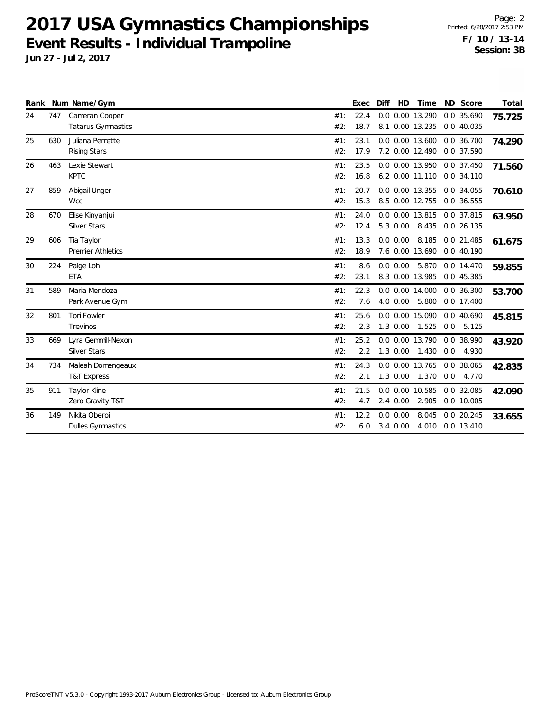|    |     | Rank Num Name/Gym        |     | <b>Exec</b> | Diff | <b>HD</b>    | Time            |     | ND Score    | Total  |
|----|-----|--------------------------|-----|-------------|------|--------------|-----------------|-----|-------------|--------|
| 24 | 747 | Cameran Cooper           | #1: | 22.4        |      |              | 0.0 0.00 13.290 |     | 0.0 35.690  | 75.725 |
|    |     | Tatarus Gymnastics       | #2: | 18.7        |      |              | 8.1 0.00 13.235 |     | 0.0 40.035  |        |
| 25 | 630 | Juliana Perrette         | #1: | 23.1        |      |              | 0.0 0.00 13.600 |     | 0.0 36.700  | 74.290 |
|    |     | <b>Rising Stars</b>      | #2: | 17.9        |      |              | 7.2 0.00 12.490 |     | 0.0 37.590  |        |
| 26 | 463 | Lexie Stewart            | #1: | 23.5        |      |              | 0.0 0.00 13.950 |     | 0.0 37.450  | 71.560 |
|    |     | <b>KPTC</b>              | #2: | 16.8        |      |              | 6.2 0.00 11.110 |     | 0.0 34.110  |        |
| 27 | 859 | Abigail Unger            | #1: | 20.7        |      |              | 0.0 0.00 13.355 |     | 0.0 34.055  | 70.610 |
|    |     | Wcc                      | #2: | 15.3        |      |              | 8.5 0.00 12.755 |     | 0.0 36.555  |        |
| 28 | 670 | Elise Kinyanjui          | #1: | 24.0        |      |              | 0.0 0.00 13.815 |     | 0.0 37.815  | 63.950 |
|    |     | <b>Silver Stars</b>      | #2: | 12.4        |      | 5.3 0.00     | 8.435           |     | 0.0 26.135  |        |
| 29 | 606 | Tia Taylor               | #1: | 13.3        |      | $0.0\ 0.00$  | 8.185           |     | 0.0 21.485  | 61.675 |
|    |     | <b>Premier Athletics</b> | #2: | 18.9        |      |              | 7.6 0.00 13.690 |     | 0.040.190   |        |
| 30 | 224 | Paige Loh                | #1: | 8.6         |      | $0.0\ 0.00$  | 5.870           |     | 0.0 14.470  | 59.855 |
|    |     | <b>ETA</b>               | #2: | 23.1        |      |              | 8.3 0.00 13.985 |     | 0.0 45.385  |        |
| 31 | 589 | Maria Mendoza            | #1: | 22.3        |      |              | 0.0 0.00 14.000 |     | 0.0 36.300  | 53.700 |
|    |     | Park Avenue Gym          | #2: | 7.6         |      | 4.0 0.00     | 5.800           |     | 0.0 17.400  |        |
| 32 | 801 | <b>Tori Fowler</b>       | #1: | 25.6        |      |              | 0.0 0.00 15.090 |     | 0.0 40.690  | 45.815 |
|    |     | Trevinos                 | #2: | 2.3         |      | $1.3 \ 0.00$ | 1.525           |     | $0.0$ 5.125 |        |
| 33 | 669 | Lyra Gemmill-Nexon       | #1: | 25.2        |      |              | 0.0 0.00 13.790 |     | 0.0 38.990  | 43.920 |
|    |     | <b>Silver Stars</b>      | #2: | 2.2         |      | $1.3 \ 0.00$ | 1.430           | 0.0 | 4.930       |        |
| 34 | 734 | Maleah Domengeaux        | #1: | 24.3        |      |              | 0.0 0.00 13.765 |     | 0.0 38.065  | 42.835 |
|    |     | <b>T&amp;T Express</b>   | #2: | 2.1         |      | $1.3 \ 0.00$ | 1.370           | 0.0 | 4.770       |        |
| 35 | 911 | Taylor Kline             | #1: | 21.5        |      |              | 0.0 0.00 10.585 |     | 0.0 32.085  | 42.090 |
|    |     | Zero Gravity T&T         | #2: | 4.7         |      | $2.4\ 0.00$  | 2.905           |     | 0.0 10.005  |        |
| 36 | 149 | Nikita Oberoi            | #1: | 12.2        |      | $0.0 \ 0.00$ | 8.045           |     | 0.0 20.245  | 33.655 |
|    |     | <b>Dulles Gymnastics</b> | #2: | 6.0         |      | $3.4\ 0.00$  | 4.010           |     | 0.0 13.410  |        |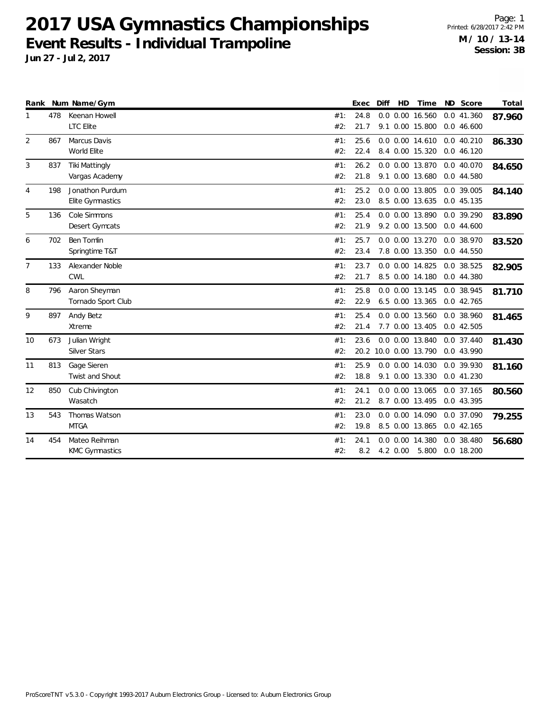| Rank           |     | Num Name/Gym          |     | Exec | Diff | HD | Time                  | ND Score     | Total  |
|----------------|-----|-----------------------|-----|------|------|----|-----------------------|--------------|--------|
|                | 478 | Keenan Howell         | #1: | 24.8 |      |    | 0.0 0.00 16.560       | 0.0 41.360   | 87.960 |
|                |     | <b>LTC</b> Elite      | #2: | 21.7 |      |    | 9.1 0.00 15.800       | 0.046.600    |        |
| $\overline{2}$ | 867 | Marcus Davis          | #1: | 25.6 |      |    | 0.0 0.00 14.610       | 0.0 40.210   | 86.330 |
|                |     | World Elite           | #2: | 22.4 |      |    | 8.4 0.00 15.320       | 0.0 46.120   |        |
| 3              | 837 | <b>Tiki Mattingly</b> | #1: | 26.2 |      |    | 0.0 0.00 13.870       | 0.0 40.070   | 84.650 |
|                |     | Vargas Academy        | #2: | 21.8 |      |    | 9.1 0.00 13.680       | 0.0 44.580   |        |
| 4              | 198 | Jonathon Purdum       | #1: | 25.2 |      |    | 0.0 0.00 13.805       | 0.0 39.005   | 84.140 |
|                |     | Elite Gymnastics      | #2: | 23.0 |      |    | 8.5 0.00 13.635       | 0.0 45.135   |        |
| 5              | 136 | Cole Simmons          | #1: | 25.4 |      |    | 0.0 0.00 13.890       | 0.0 39.290   | 83.890 |
|                |     | Desert Gymcats        | #2: | 21.9 |      |    | 9.2 0.00 13.500       | 0.044.600    |        |
| 6              | 702 | <b>Ben Tomlin</b>     | #1: | 25.7 |      |    | 0.0 0.00 13.270       | 0.0 38.970   | 83.520 |
|                |     | Springtime T&T        | #2: | 23.4 |      |    | 7.8 0.00 13.350       | 0.0 44.550   |        |
| $\overline{7}$ | 133 | Alexander Noble       | #1: | 23.7 |      |    | 0.0 0.00 14.825       | 0.0 38.525   | 82.905 |
|                |     | <b>CWL</b>            | #2: | 21.7 |      |    | 8.5 0.00 14.180       | 0.0 44.380   |        |
| 8              | 796 | Aaron Sheyman         | #1: | 25.8 |      |    | 0.0 0.00 13.145       | 0.0 38.945   | 81.710 |
|                |     | Tornado Sport Club    | #2: | 22.9 |      |    | 6.5 0.00 13.365       | 0.0 42.765   |        |
| 9              | 897 | Andy Betz             | #1: | 25.4 |      |    | 0.0 0.00 13.560       | 0.0 38.960   | 81.465 |
|                |     | Xtreme                | #2: | 21.4 |      |    | 7.7 0.00 13.405       | 0.042.505    |        |
| 10             | 673 | Julian Wright         | #1: | 23.6 |      |    | 0.0 0.00 13.840       | 0.0 37.440   | 81.430 |
|                |     | <b>Silver Stars</b>   | #2: |      |      |    | 20.2 10.0 0.00 13.790 | 0.0 43.990   |        |
| 11             | 813 | Gage Sieren           | #1: | 25.9 |      |    | 0.0 0.00 14.030       | 0.0 39.930   | 81.160 |
|                |     | Twist and Shout       | #2: | 18.8 |      |    | 9.1 0.00 13.330       | 0.041.230    |        |
| 12             | 850 | Cub Chivington        | #1: | 24.1 |      |    | 0.0 0.00 13.065       | 0.0 37.165   | 80.560 |
|                |     | Wasatch               | #2: | 21.2 |      |    | 8.7 0.00 13.495       | 0.0 43.395   |        |
| 13             | 543 | Thomas Watson         | #1: | 23.0 |      |    | 0.0 0.00 14.090       | 0.0 37.090   | 79.255 |
|                |     | <b>MTGA</b>           | #2: | 19.8 |      |    | 8.5 0.00 13.865       | 0.042.165    |        |
| 14             | 454 | Mateo Reihman         | #1: | 24.1 |      |    | 0.0 0.00 14.380       | $0.0$ 38.480 | 56.680 |
|                |     | <b>KMC Gymnastics</b> | #2: | 8.2  |      |    | 4.2 0.00 5.800        | 0.0 18.200   |        |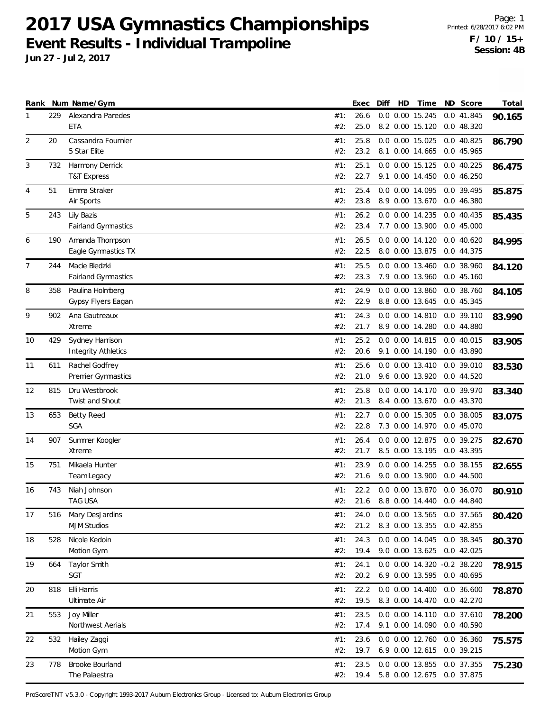**Jun 27 - Jul 2, 2017**

|                |     | Rank Num Name/Gym                      |            | Exec         | Diff | HD | Time                               | ND Score                 | Total  |
|----------------|-----|----------------------------------------|------------|--------------|------|----|------------------------------------|--------------------------|--------|
| 1              | 229 | Alexandra Paredes                      | #1:        | 26.6         |      |    | 0.0 0.00 15.245                    | 0.0 41.845               | 90.165 |
|                |     | <b>ETA</b>                             | #2:        | 25.0         |      |    | 8.2 0.00 15.120                    | 0.0 48.320               |        |
| 2              | 20  | Cassandra Fournier                     | #1:        | 25.8         |      |    | 0.0 0.00 15.025                    | 0.0 40.825               | 86.790 |
|                |     | 5 Star Elite                           | #2:        | 23.2         |      |    | 8.1 0.00 14.665                    | 0.0 45.965               |        |
| 3              | 732 | Harmony Derrick                        | #1:        | 25.1         |      |    | 0.0 0.00 15.125                    | $0.0$ 40.225             | 86.475 |
|                |     | <b>T&amp;T Express</b>                 | #2:        | 22.7         |      |    | 9.1 0.00 14.450                    | 0.046.250                |        |
| $\overline{4}$ | 51  | Emma Straker                           | #1:        | 25.4         |      |    | 0.0 0.00 14.095                    | 0.0 39.495               | 85.875 |
|                |     | Air Sports                             | #2:        | 23.8         |      |    | 8.9 0.00 13.670                    | 0.0 46.380               |        |
| 5              | 243 | Lily Bazis                             | #1:        | 26.2         |      |    | 0.0 0.00 14.235                    | 0.0 40.435               | 85.435 |
|                |     | <b>Fairland Gymnastics</b>             | #2:        | 23.4         |      |    | 7.7 0.00 13.900                    | 0.045.000                |        |
|                |     |                                        |            |              |      |    |                                    |                          |        |
| 6              | 190 | Amanda Thompson<br>Eagle Gymnastics TX | #1:<br>#2: | 26.5<br>22.5 |      |    | 0.0 0.00 14.120<br>8.0 0.00 13.875 | 0.040.620<br>0.0 44.375  | 84.995 |
|                |     |                                        |            |              |      |    |                                    |                          |        |
| 7              | 244 | Macie Bledzki                          | #1:        | 25.5         |      |    | 0.0 0.00 13.460                    | 0.0 38.960               | 84.120 |
|                |     | Fairland Gymnastics                    | #2:        | 23.3         |      |    | 7.9 0.00 13.960                    | 0.045.160                |        |
| 8              | 358 | Paulina Holmberg                       | #1:        | 24.9         |      |    | 0.0 0.00 13.860                    | 0.0 38.760               | 84.105 |
|                |     | Gypsy Flyers Eagan                     | #2:        | 22.9         |      |    | 8.8 0.00 13.645                    | 0.0 45.345               |        |
| 9              | 902 | Ana Gautreaux                          | #1:        | 24.3         |      |    | 0.0 0.00 14.810                    | 0.0 39.110               | 83.990 |
|                |     | Xtreme                                 | #2:        | 21.7         |      |    | 8.9 0.00 14.280                    | 0.0 44.880               |        |
| 10             | 429 | Sydney Harrison                        | #1:        | 25.2         |      |    | 0.0 0.00 14.815                    | 0.0 40.015               | 83.905 |
|                |     | <b>Integrity Athletics</b>             | #2:        | 20.6         |      |    | 9.1 0.00 14.190                    | 0.0 43.890               |        |
| 11             | 611 | Rachel Godfrey                         | #1:        | 25.6         |      |    | 0.0 0.00 13.410                    | 0.0 39.010               | 83.530 |
|                |     | Premier Gymnastics                     | #2:        | 21.0         |      |    | 9.6 0.00 13.920                    | 0.0 44.520               |        |
| 12             | 815 | Dru Westbrook                          | #1:        | 25.8         |      |    | 0.0 0.00 14.170                    | 0.0 39.970               | 83.340 |
|                |     | Twist and Shout                        | #2:        | 21.3         |      |    | 8.4 0.00 13.670                    | 0.0 43.370               |        |
| 13             | 653 | <b>Betty Reed</b>                      | #1:        | 22.7         |      |    | 0.0 0.00 15.305                    | 0.0 38.005               |        |
|                |     | <b>SGA</b>                             | #2:        | 22.8         |      |    | 7.3 0.00 14.970                    | 0.0 45.070               | 83.075 |
|                |     |                                        |            |              |      |    |                                    |                          |        |
| 14             | 907 | Summer Koogler<br>Xtreme               | #1:<br>#2: | 26.4<br>21.7 |      |    | 0.0 0.00 12.875<br>8.5 0.00 13.195 | 0.0 39.275<br>0.0 43.395 | 82.670 |
|                |     |                                        |            |              |      |    |                                    |                          |        |
| 15             | 751 | Mikaela Hunter                         | #1:        | 23.9         |      |    | 0.0 0.00 14.255                    | 0.0 38.155               | 82.655 |
|                |     | Team Legacy                            | #2:        | 21.6         |      |    | 9.0 0.00 13.900                    | 0.044.500                |        |
| 16             | 743 | Niah Johnson                           | #1:        | 22.2         |      |    | 0.0 0.00 13.870                    | 0.0 36.070               | 80.910 |
|                |     | TAG USA                                | #2:        |              |      |    | 21.6 8.8 0.00 14.440 0.0 44.840    |                          |        |
| 17             | 516 | Mary DesJardins                        | #1:        | 24.0         |      |    | 0.0 0.00 13.565                    | 0.0 37.565               | 80.420 |
|                |     | <b>MJM Studios</b>                     | #2:        | 21.2         |      |    | 8.3 0.00 13.355                    | 0.0 42.855               |        |
| 18             | 528 | Nicole Kedoin                          | #1:        | 24.3         |      |    | 0.0 0.00 14.045                    | 0.0 38.345               | 80.370 |
|                |     | Motion Gym                             | #2:        | 19.4         |      |    | 9.0 0.00 13.625                    | 0.0 42.025               |        |
| 19             | 664 | <b>Taylor Smith</b>                    | #1:        | 24.1         |      |    | 0.0 0.00 14.320                    | $-0.2$ 38.220            | 78.915 |
|                |     | SGT                                    | #2:        | 20.2         |      |    | 6.9 0.00 13.595                    | 0.0 40.695               |        |
| 20             | 818 | Elli Harris                            | #1:        | 22.2         |      |    | 0.0 0.00 14.400                    | $0.0$ 36.600             | 78.870 |
|                |     | Ultimate Air                           | #2:        | 19.5         |      |    | 8.3 0.00 14.470                    | 0.042.270                |        |
| 21             | 553 | Joy Miller                             | #1:        | 23.5         |      |    | 0.0 0.00 14.110                    | 0.0 37.610               | 78.200 |
|                |     | Northwest Aerials                      | #2:        | 17.4         |      |    | 9.1 0.00 14.090                    | 0.0 40.590               |        |
|                |     |                                        |            | 23.6         |      |    |                                    |                          |        |
| 22             | 532 | Hailey Zaggi<br>Motion Gym             | #1:<br>#2: | 19.7         |      |    | 0.0 0.00 12.760<br>6.9 0.00 12.615 | 0.0 36.360<br>0.0 39.215 | 75.575 |
|                |     |                                        |            |              |      |    |                                    |                          |        |
| 23             | 778 | Brooke Bourland                        | #1:        | 23.5         |      |    | 0.0 0.00 13.855                    | 0.0 37.355               | 75.230 |
|                |     | The Palaestra                          | #2:        | 19.4         |      |    | 5.8 0.00 12.675                    | 0.0 37.875               |        |

ProScoreTNT v5.3.0 - Copyright 1993-2017 Auburn Electronics Group - Licensed to: Auburn Electronics Group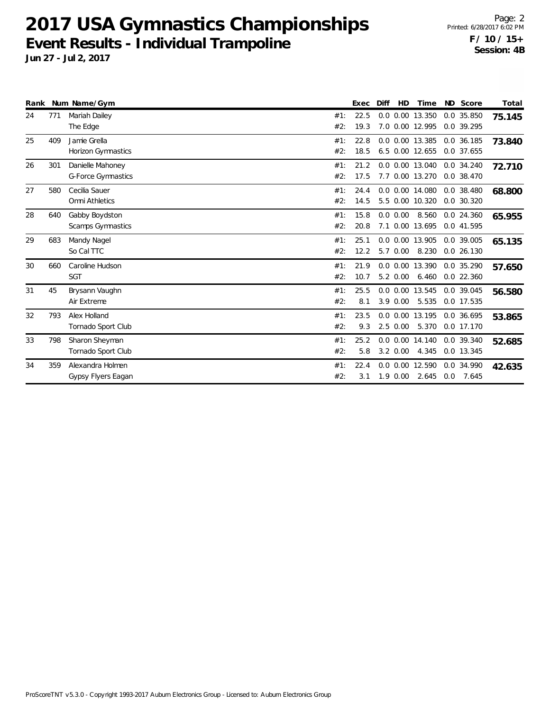|    |     | Rank Num Name/Gym                             |            | Exec         | Diff | HD           | Time                               | ND Score                   | Total  |
|----|-----|-----------------------------------------------|------------|--------------|------|--------------|------------------------------------|----------------------------|--------|
| 24 | 771 | Mariah Dailey<br>The Edge                     | #1:<br>#2: | 22.5<br>19.3 |      |              | 0.0 0.00 13.350<br>7.0 0.00 12.995 | 0.0 35.850<br>0.0 39.295   | 75.145 |
| 25 | 409 | Jamie Grella<br><b>Horizon Gymnastics</b>     | #1:<br>#2: | 22.8<br>18.5 |      |              | 0.0 0.00 13.385<br>6.5 0.00 12.655 | 0.0 36.185<br>0.0 37.655   | 73.840 |
| 26 | 301 | Danielle Mahoney<br><b>G-Force Gymnastics</b> | #1:<br>#2: | 21.2<br>17.5 | 7.7  |              | 0.0 0.00 13.040<br>0.00 13.270     | 0.0 34.240<br>0.0 38.470   | 72.710 |
| 27 | 580 | Cecilia Sauer<br>Omni Athletics               | #1:<br>#2: | 24.4<br>14.5 |      |              | 0.0 0.00 14.080<br>5.5 0.00 10.320 | 0.0 38.480<br>0.0 30.320   | 68.800 |
| 28 | 640 | Gabby Boydston<br>Scamps Gymnastics           | #1:<br>#2: | 15.8<br>20.8 |      | 0.0 0.00     | 8.560<br>7.1 0.00 13.695           | 0.0 24.360<br>0.0 41.595   | 65.955 |
| 29 | 683 | Mandy Nagel<br>So Cal TTC                     | #1:<br>#2: | 25.1<br>12.2 |      | 5.7 0.00     | 0.0 0.00 13.905<br>8.230           | 0.0 39.005<br>0.0 26.130   | 65.135 |
| 30 | 660 | Caroline Hudson<br><b>SGT</b>                 | #1:<br>#2: | 21.9<br>10.7 |      | 5.2 0.00     | 0.0 0.00 13.390<br>6.460           | 0.0 35.290<br>$0.0$ 22.360 | 57.650 |
| 31 | 45  | Brysann Vaughn<br>Air Extreme                 | #1:<br>#2: | 25.5<br>8.1  |      | $3.9 \ 0.00$ | 0.0 0.00 13.545<br>5.535           | 0.0 39.045<br>0.0 17.535   | 56.580 |
| 32 | 793 | Alex Holland<br>Tornado Sport Club            | #1:<br>#2: | 23.5<br>9.3  |      | $2.5 \t0.00$ | 0.0 0.00 13.195<br>5.370           | 0.0 36.695<br>0.0 17.170   | 53.865 |
| 33 | 798 | Sharon Sheyman<br>Tornado Sport Club          | #1:<br>#2: | 25.2<br>5.8  |      | $3.2 \ 0.00$ | 0.0 0.00 14.140<br>4.345           | 0.0 39.340<br>0.0 13.345   | 52.685 |
| 34 | 359 | Alexandra Holmen<br>Gypsy Flyers Eagan        | #1:<br>#2: | 22.4<br>3.1  |      | $1.9 \ 0.00$ | 0.0 0.00 12.590<br>2.645           | 0.0 34.990<br>$0.0$ 7.645  | 42.635 |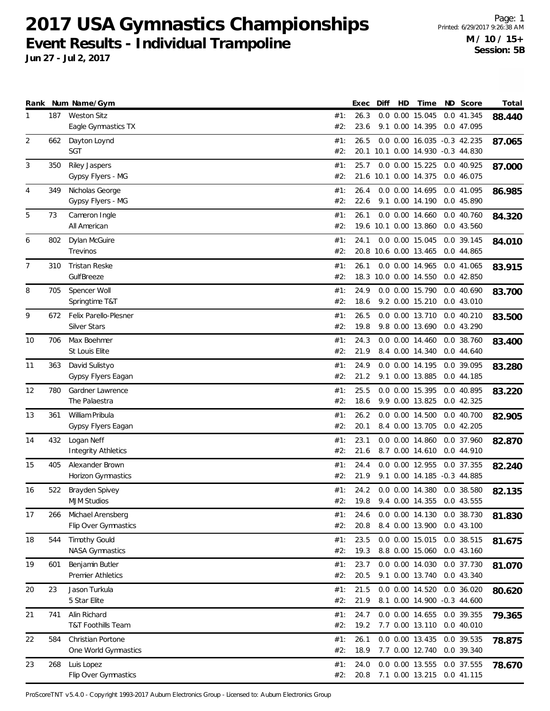**Jun 27 - Jul 2, 2017**

|                |     | Rank Num Name/Gym                              |            | Exec         | Diff | HD | Time                                                             | ND Score                   | Total  |
|----------------|-----|------------------------------------------------|------------|--------------|------|----|------------------------------------------------------------------|----------------------------|--------|
| 1              | 187 | <b>Weston Sitz</b><br>Eagle Gymnastics TX      | #1:<br>#2: | 26.3<br>23.6 |      |    | 0.0 0.00 15.045<br>9.1 0.00 14.395                               | 0.0 41.345<br>0.0 47.095   | 88.440 |
| $\overline{2}$ | 662 | Dayton Loynd<br><b>SGT</b>                     | #1:<br>#2: | 26.5         |      |    | 0.0 0.00 16.035 -0.3 42.235<br>20.1 10.1 0.00 14.930 -0.3 44.830 |                            | 87.065 |
| 3              | 350 | Riley Jaspers<br>Gypsy Flyers - MG             | #1:<br>#2: | 25.7         |      |    | 0.0 0.00 15.225<br>21.6 10.1 0.00 14.375                         | 0.0 40.925<br>0.0 46.075   | 87.000 |
| 4              | 349 | Nicholas George<br>Gypsy Flyers - MG           | #1:<br>#2: | 26.4<br>22.6 |      |    | 0.0 0.00 14.695<br>9.1 0.00 14.190                               | 0.0 41.095<br>0.0 45.890   | 86.985 |
| 5              | 73  | Cameron Ingle<br>All American                  | #1:<br>#2: | 26.1         |      |    | $0.0$ $0.00$ $14.660$<br>19.6 10.1 0.00 13.860                   | 0.0 40.760<br>0.043.560    | 84.320 |
| 6              | 802 | Dylan McGuire<br>Trevinos                      | #1:<br>#2: | 24.1         |      |    | 0.0 0.00 15.045<br>20.8 10.6 0.00 13.465                         | 0.0 39.145<br>0.0 44.865   | 84.010 |
| 7              | 310 | <b>Tristan Reske</b><br>GulfBreeze             | #1:<br>#2: | 26.1         |      |    | 0.0 0.00 14.965<br>18.3 10.0 0.00 14.550                         | 0.0 41.065<br>$0.0$ 42.850 | 83.915 |
| 8              | 705 | Spencer Woll<br>Springtime T&T                 | #1:<br>#2: | 24.9<br>18.6 |      |    | 0.0 0.00 15.790<br>9.2 0.00 15.210                               | 0.040.690<br>0.043.010     | 83.700 |
| 9              | 672 | Felix Parello-Plesner<br>Silver Stars          | #1:<br>#2: | 26.5<br>19.8 |      |    | 0.0 0.00 13.710<br>9.8 0.00 13.690                               | $0.0$ 40.210<br>0.0 43.290 | 83.500 |
| 10             | 706 | Max Boehmer<br>St Louis Elite                  | #1:<br>#2: | 24.3<br>21.9 |      |    | 0.0 0.00 14.460<br>8.4 0.00 14.340                               | 0.0 38.760<br>0.044.640    | 83.400 |
| 11             | 363 | David Sulistyo<br>Gypsy Flyers Eagan           | #1:<br>#2: | 24.9<br>21.2 |      |    | 0.0 0.00 14.195<br>9.1 0.00 13.885                               | 0.0 39.095<br>0.044.185    | 83.280 |
| 12             | 780 | Gardner Lawrence<br>The Palaestra              | #1:<br>#2: | 25.5<br>18.6 |      |    | 0.0 0.00 15.395<br>9.9 0.00 13.825                               | 0.0 40.895<br>0.0 42.325   | 83.220 |
| 13             | 361 | William Pribula<br>Gypsy Flyers Eagan          | #1:<br>#2: | 26.2<br>20.1 |      |    | 0.0 0.00 14.500<br>8.4 0.00 13.705                               | 0.040.700<br>$0.0$ 42.205  | 82.905 |
| 14             | 432 | Logan Neff<br><b>Integrity Athletics</b>       | #1:<br>#2: | 23.1<br>21.6 |      |    | $0.0$ $0.00$ $14.860$<br>8.7 0.00 14.610                         | 0.0 37.960<br>0.0 44.910   | 82.870 |
| 15             | 405 | Alexander Brown<br>Horizon Gymnastics          | #1:<br>#2: | 24.4<br>21.9 |      |    | 0.0 0.00 12.955<br>9.1 0.00 14.185 -0.3 44.885                   | $0.0$ 37.355               | 82.240 |
| 16             | 522 | Brayden Spivey<br><b>MJM Studios</b>           | #1:<br>#2: | 24.2<br>19.8 |      |    | 0.0 0.00 14.380<br>9.4 0.00 14.355                               | 0.0 38.580<br>0.0 43.555   | 82.135 |
| 17             | 266 | Michael Arensberg<br>Flip Over Gymnastics      | #1:<br>#2: | 24.6<br>20.8 |      |    | 0.0 0.00 14.130<br>8.4 0.00 13.900                               | 0.0 38.730<br>0.043.100    | 81.830 |
| 18             | 544 | <b>Timothy Gould</b><br><b>NASA Gymnastics</b> | #1:<br>#2: | 23.5<br>19.3 |      |    | 0.0 0.00 15.015<br>8.8 0.00 15.060                               | 0.0 38.515<br>0.043.160    | 81.675 |
| 19             | 601 | Benjamin Butler<br>Premier Athletics           | #1:<br>#2: | 23.7<br>20.5 |      |    | 0.0 0.00 14.030<br>9.1 0.00 13.740                               | 0.0 37.730<br>0.0 43.340   | 81.070 |
| 20             | 23  | Jason Turkula<br>5 Star Elite                  | #1:<br>#2: | 21.5<br>21.9 |      |    | 0.0 0.00 14.520<br>8.1 0.00 14.900 -0.3 44.600                   | 0.0 36.020                 | 80.620 |
| 21             | 741 | Alin Richard<br>T&T Foothills Team             | #1:<br>#2: | 24.7<br>19.2 |      |    | 0.0 0.00 14.655<br>7.7 0.00 13.110                               | 0.0 39.355<br>0.040.010    | 79.365 |
| 22             | 584 | Christian Portone<br>One World Gymnastics      | #1:<br>#2: | 26.1<br>18.9 |      |    | 0.0 0.00 13.435<br>7.7 0.00 12.740                               | 0.0 39.535<br>0.0 39.340   | 78.875 |
| 23             | 268 | Luis Lopez<br>Flip Over Gymnastics             | #1:<br>#2: | 24.0<br>20.8 |      |    | 0.0 0.00 13.555<br>7.1 0.00 13.215                               | 0.0 37.555<br>0.0 41.115   | 78.670 |

ProScoreTNT v5.4.0 - Copyright 1993-2017 Auburn Electronics Group - Licensed to: Auburn Electronics Group